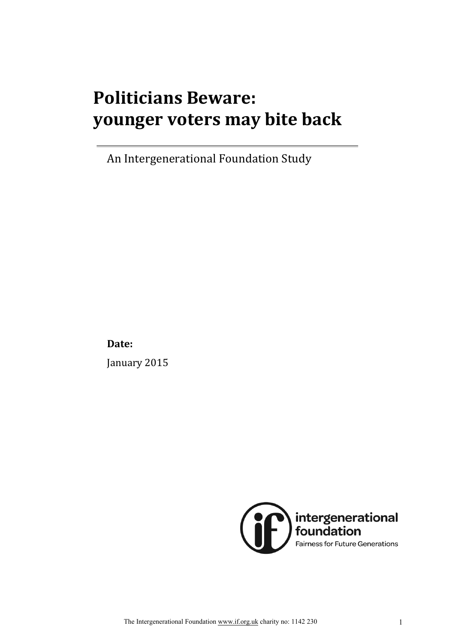# **Politicians Beware: younger!voters!may!bite!back**

An Intergenerational Foundation Study

**Date:**

January 2015

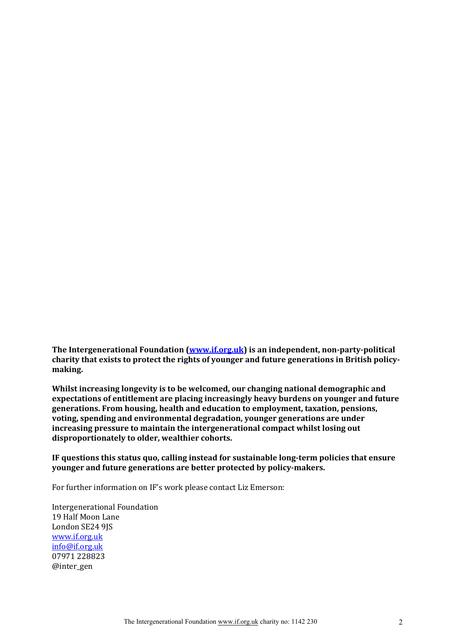The Intergenerational Foundation (www.if.org.uk) is an independent, non-party-political charity that exists to protect the rights of younger and future generations in British policy**making.**

Whilst increasing longevity is to be welcomed, our changing national demographic and expectations of entitlement are placing increasingly heavy burdens on younger and future generations. From housing, health and education to employment, taxation, pensions, voting, spending and environmental degradation, younger generations are under increasing pressure to maintain the intergenerational compact whilst losing out disproportionately to older, wealthier cohorts.

IF questions this status quo, calling instead for sustainable long-term policies that ensure younger and future generations are better protected by policy-makers.

For further information on IF's work please contact Liz Emerson:

Intergenerational Foundation 19 Half Moon Lane London SE24 9JS www.if.org.uk info@if.org.uk 07971 228823 @inter\_gen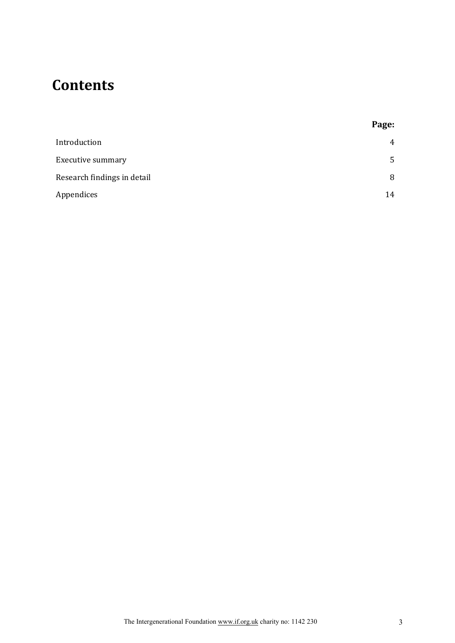### **Contents**

| Introduction                | $\overline{4}$ |
|-----------------------------|----------------|
| <b>Executive summary</b>    | 5              |
| Research findings in detail | 8              |
| Appendices                  | 14             |

**Page:**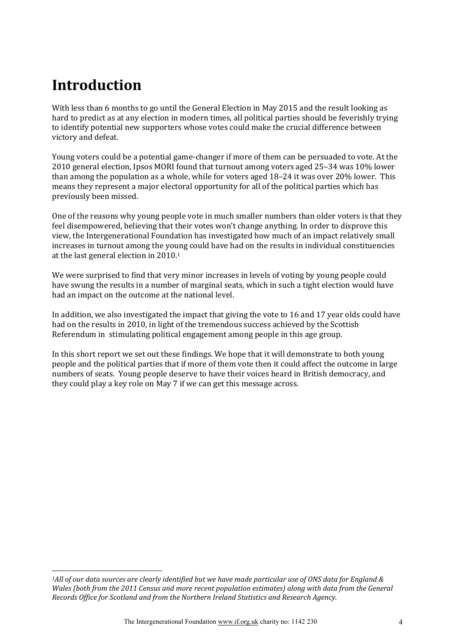### **Introduction**

 $\overline{a}$ 

With less than 6 months to go until the General Election in May 2015 and the result looking as hard to predict as at any election in modern times, all political parties should be feverishly trying to identify potential new supporters whose votes could make the crucial difference between victory and defeat.

Young voters could be a potential game-changer if more of them can be persuaded to vote. At the 2010 general election, Ipsos MORI found that turnout among voters aged 25–34 was 10% lower than among the population as a whole, while for voters aged  $18-24$  it was over 20% lower. This means they represent a major electoral opportunity for all of the political parties which has previously been missed.

One of the reasons why young people vote in much smaller numbers than older voters is that they feel disempowered, believing that their votes won't change anything. In order to disprove this view, the Intergenerational Foundation has investigated how much of an impact relatively small increases in turnout among the young could have had on the results in individual constituencies at the last general election in 2010.<sup>1</sup>

We were surprised to find that very minor increases in levels of voting by young people could have swung the results in a number of marginal seats, which in such a tight election would have had an impact on the outcome at the national level.

In addition, we also investigated the impact that giving the vote to 16 and 17 year olds could have had on the results in 2010, in light of the tremendous success achieved by the Scottish Referendum in stimulating political engagement among people in this age group.

In this short report we set out these findings. We hope that it will demonstrate to both young people and the political parties that if more of them vote then it could affect the outcome in large numbers of seats. Young people deserve to have their voices heard in British democracy, and they could play a key role on May 7 if we can get this message across.

*<sup>1</sup>All of our data sources are clearly identified but we have made particular use of ONS data for England & Wales (both from the 2011 Census and more recent population estimates) along with data from the General Records Office for Scotland and from the Northern Ireland Statistics and Research Agency.*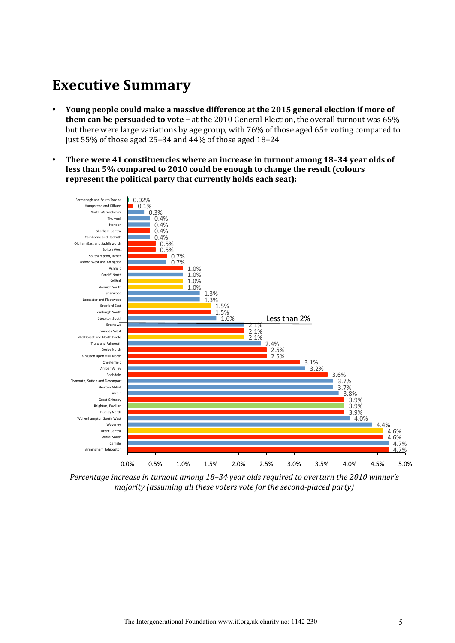### **Executive Summary**

- Young people could make a massive difference at the 2015 general election if more of **them can be persuaded to vote –** at the 2010 General Election, the overall turnout was 65% but there were large variations by age group, with  $76\%$  of those aged  $65+$  voting compared to just 55% of those aged 25–34 and 44% of those aged 18–24.
- There were 41 constituencies where an increase in turnout among 18–34 year olds of **less than 5% compared to 2010 could be enough to change the result (colours** represent the political party that currently holds each seat):



*Percentage increase in turnout among 18–34 year olds required to overturn the 2010 winner's majority (assuming all these voters vote for the second-placed party)*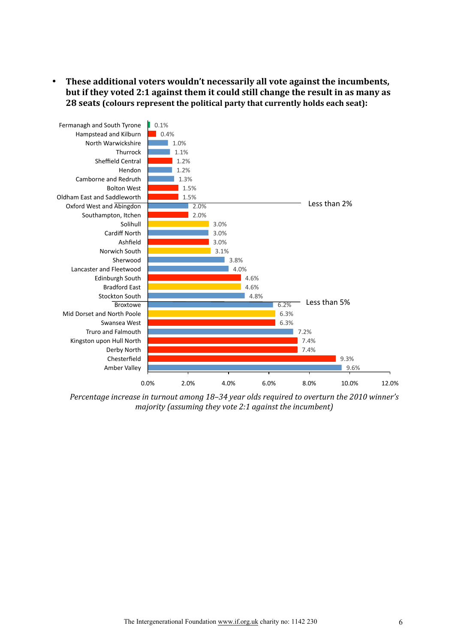• These additional voters wouldn't necessarily all vote against the incumbents, but if they voted 2:1 against them it could still change the result in as many as **28 seats (colours represent the political party that currently holds each seat):** 



Percentage increase in turnout among 18–34 year olds required to overturn the 2010 winner's *majority (assuming they vote 2:1 against the incumbent)*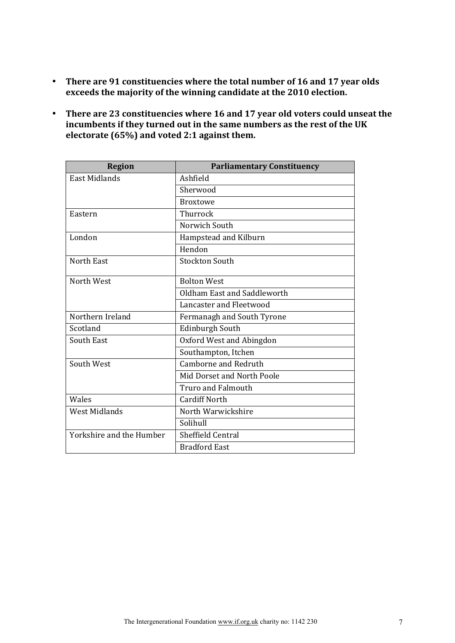- There are 91 constituencies where the total number of 16 and 17 year olds exceeds the majority of the winning candidate at the 2010 election.
- There are 23 constituencies where 16 and 17 year old voters could unseat the incumbents if they turned out in the same numbers as the rest of the UK electorate (65%) and voted 2:1 against them.

| <b>Region</b>            | <b>Parliamentary Constituency</b> |
|--------------------------|-----------------------------------|
| East Midlands            | Ashfield                          |
|                          | Sherwood                          |
|                          | <b>Broxtowe</b>                   |
| Eastern                  | Thurrock                          |
|                          | Norwich South                     |
| London                   | Hampstead and Kilburn             |
|                          | Hendon                            |
| North East               | <b>Stockton South</b>             |
| North West               | <b>Bolton West</b>                |
|                          | Oldham East and Saddleworth       |
|                          | Lancaster and Fleetwood           |
| Northern Ireland         | Fermanagh and South Tyrone        |
| Scotland                 | <b>Edinburgh South</b>            |
| <b>South East</b>        | Oxford West and Abingdon          |
|                          | Southampton, Itchen               |
| South West               | Camborne and Redruth              |
|                          | Mid Dorset and North Poole        |
|                          | <b>Truro and Falmouth</b>         |
| Wales                    | <b>Cardiff North</b>              |
| <b>West Midlands</b>     | North Warwickshire                |
|                          | Solihull                          |
| Yorkshire and the Humber | Sheffield Central                 |
|                          | <b>Bradford East</b>              |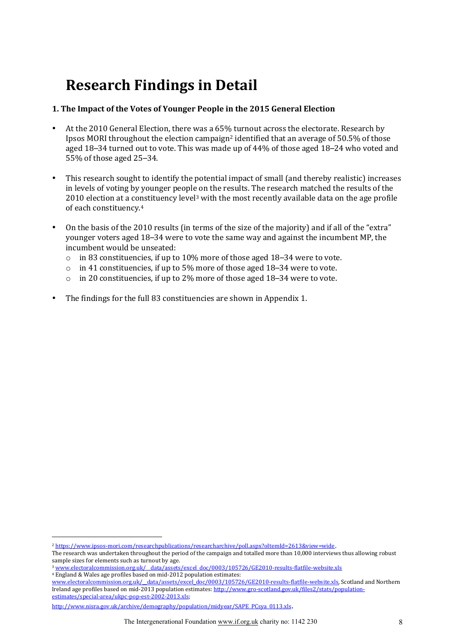### **Research Findings in Detail**

#### **1. The Impact of the Votes of Younger People in the 2015 General Election**

- At the 2010 General Election, there was a  $65\%$  turnout across the electorate. Research by Ipsos MORI throughout the election campaign<sup>2</sup> identified that an average of  $50.5%$  of those aged  $18-34$  turned out to vote. This was made up of  $44%$  of those aged  $18-24$  who voted and 55% of those aged  $25-34$ .
- This research sought to identify the potential impact of small (and thereby realistic) increases in levels of voting by younger people on the results. The research matched the results of the 2010 election at a constituency level<sup>3</sup> with the most recently available data on the age profile of each constituency.<sup>4</sup>
- On the basis of the 2010 results (in terms of the size of the majority) and if all of the "extra" younger voters aged 18–34 were to vote the same way and against the incumbent MP, the incumbent would be unseated:
	- $\circ$  in 83 constituencies, if up to 10% more of those aged 18–34 were to vote.
	- o in 41 constituencies, if up to 5% more of those aged 18–34 were to vote.
	- $\circ$  in 20 constituencies, if up to 2% more of those aged 18–34 were to vote.
- The findings for the full 83 constituencies are shown in Appendix 1.

3 www.electoralcommission.org.uk/\_data/assets/excel\_doc/0003/105726/GE2010-results-flatfile-website.xls

 $\overline{a}$ 

<sup>&</sup>lt;sup>2</sup> https://www.ipsos-mori.com/researchpublications/researcharchive/poll.aspx?oItemId=2613&view=wide.

The research was undertaken throughout the period of the campaign and totalled more than 10,000 interviews thus allowing robust sample sizes for elements such as turnout by age.

<sup>&</sup>lt;sup>4</sup> England & Wales age profiles based on mid-2012 population estimates:

www.electoralcommission.org.uk/\_data/assets/excel\_doc/0003/105726/GE2010-results-flatfile-website.xls, Scotland and Northern Ireland age profiles based on mid-2013 population estimates: http://www.gro-scotland.gov.uk/files2/stats/populationestimates/special-area/ukpc-pop-est-2002-2013.xls;

http://www.nisra.gov.uk/archive/demography/population/midyear/SAPE\_PCsya\_0113.xls.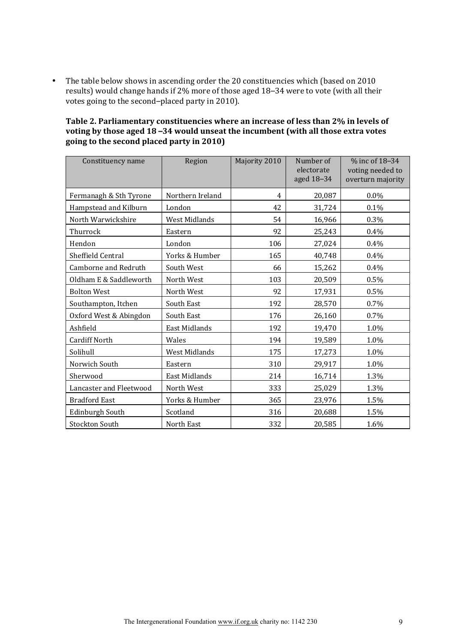• The table below shows in ascending order the 20 constituencies which (based on 2010 results) would change hands if 2% more of those aged 18–34 were to vote (with all their votes going to the second–placed party in 2010).

| Table 2. Parliamentary constituencies where an increase of less than 2% in levels of |
|--------------------------------------------------------------------------------------|
| voting by those aged 18–34 would unseat the incumbent (with all those extra votes    |
| going to the second placed party in 2010)                                            |

| Constituency name       | Region           | Majority 2010 | Number of<br>electorate<br>aged 18-34 | % inc of 18-34<br>voting needed to<br>overturn majority |
|-------------------------|------------------|---------------|---------------------------------------|---------------------------------------------------------|
| Fermanagh & Sth Tyrone  | Northern Ireland | 4             | 20,087                                | $0.0\%$                                                 |
| Hampstead and Kilburn   | London           | 42            | 31,724                                | 0.1%                                                    |
| North Warwickshire      | West Midlands    | 54            | 16,966                                | 0.3%                                                    |
| Thurrock                | Eastern          | 92            | 25,243                                | 0.4%                                                    |
| Hendon                  | London           | 106           | 27,024                                | 0.4%                                                    |
| Sheffield Central       | Yorks & Humber   | 165           | 40,748                                | 0.4%                                                    |
| Camborne and Redruth    | South West       | 66            | 15,262                                | 0.4%                                                    |
| Oldham E & Saddleworth  | North West       | 103           | 20,509                                | 0.5%                                                    |
| <b>Bolton West</b>      | North West       | 92            | 17,931                                | 0.5%                                                    |
| Southampton, Itchen     | South East       | 192           | 28,570                                | 0.7%                                                    |
| Oxford West & Abingdon  | South East       | 176           | 26,160                                | 0.7%                                                    |
| Ashfield                | East Midlands    | 192           | 19,470                                | 1.0%                                                    |
| <b>Cardiff North</b>    | Wales            | 194           | 19,589                                | 1.0%                                                    |
| Solihull                | West Midlands    | 175           | 17,273                                | 1.0%                                                    |
| Norwich South           | Eastern          | 310           | 29,917                                | 1.0%                                                    |
| Sherwood                | East Midlands    | 214           | 16,714                                | 1.3%                                                    |
| Lancaster and Fleetwood | North West       | 333           | 25,029                                | 1.3%                                                    |
| <b>Bradford East</b>    | Yorks & Humber   | 365           | 23,976                                | 1.5%                                                    |
| Edinburgh South         | Scotland         | 316           | 20,688                                | 1.5%                                                    |
| <b>Stockton South</b>   | North East       | 332           | 20,585                                | 1.6%                                                    |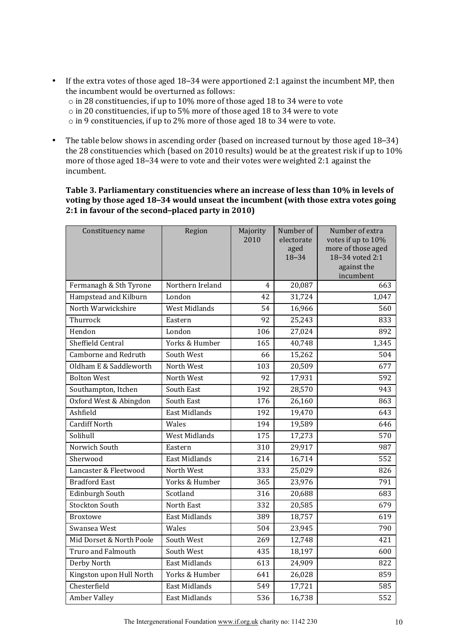- If the extra votes of those aged  $18-34$  were apportioned 2:1 against the incumbent MP, then the incumbent would be overturned as follows:  $\circ$  in 28 constituencies, if up to 10% more of those aged 18 to 34 were to vote  $\circ$  in 20 constituencies, if up to 5% more of those aged 18 to 34 were to vote  $\circ$  in 9 constituencies, if up to 2% more of those aged 18 to 34 were to vote.
- The table below shows in ascending order (based on increased turnout by those aged 18–34) the 28 constituencies which (based on 2010 results) would be at the greatest risk if up to  $10\%$ more of those aged 18–34 were to vote and their votes were weighted 2:1 against the incumbent.

#### Table 3. Parliamentary constituencies where an increase of less than 10% in levels of voting by those aged 18-34 would unseat the incumbent (with those extra votes going **2:1 in favour of the second–placed party in 2010)**

| Constituency name           | Region               | Majority | Number of         | Number of extra                       |
|-----------------------------|----------------------|----------|-------------------|---------------------------------------|
|                             |                      | 2010     | electorate        | votes if up to 10%                    |
|                             |                      |          | aged<br>$18 - 34$ | more of those aged<br>18-34 voted 2:1 |
|                             |                      |          |                   | against the                           |
|                             |                      |          |                   | incumbent                             |
| Fermanagh & Sth Tyrone      | Northern Ireland     | 4        | 20,087            | 663                                   |
| Hampstead and Kilburn       | London               | 42       | 31,724            | 1,047                                 |
| North Warwickshire          | <b>West Midlands</b> | 54       | 16,966            | 560                                   |
| Thurrock                    | Eastern              | 92       | 25,243            | 833                                   |
| Hendon                      | London               | 106      | 27,024            | 892                                   |
| Sheffield Central           | Yorks & Humber       | 165      | 40,748            | 1,345                                 |
| <b>Camborne and Redruth</b> | South West           | 66       | 15,262            | 504                                   |
| Oldham E & Saddleworth      | North West           | 103      | 20,509            | 677                                   |
| <b>Bolton West</b>          | North West           | 92       | 17,931            | 592                                   |
| Southampton, Itchen         | South East           | 192      | 28,570            | 943                                   |
| Oxford West & Abingdon      | South East           | 176      | 26,160            | 863                                   |
| Ashfield                    | <b>East Midlands</b> | 192      | 19,470            | 643                                   |
| <b>Cardiff North</b>        | Wales                | 194      | 19,589            | 646                                   |
| Solihull                    | <b>West Midlands</b> | 175      | 17,273            | 570                                   |
| Norwich South               | Eastern              | 310      | 29,917            | 987                                   |
| Sherwood                    | <b>East Midlands</b> | 214      | 16,714            | 552                                   |
| Lancaster & Fleetwood       | North West           | 333      | 25,029            | 826                                   |
| <b>Bradford East</b>        | Yorks & Humber       | 365      | 23,976            | 791                                   |
| Edinburgh South             | Scotland             | 316      | 20,688            | 683                                   |
| <b>Stockton South</b>       | North East           | 332      | 20,585            | 679                                   |
| <b>Broxtowe</b>             | <b>East Midlands</b> | 389      | 18,757            | 619                                   |
| Swansea West                | Wales                | 504      | 23,945            | 790                                   |
| Mid Dorset & North Poole    | South West           | 269      | 12,748            | 421                                   |
| <b>Truro and Falmouth</b>   | South West           | 435      | 18,197            | 600                                   |
| Derby North                 | <b>East Midlands</b> | 613      | 24,909            | 822                                   |
| Kingston upon Hull North    | Yorks & Humber       | 641      | 26,028            | 859                                   |
| Chesterfield                | East Midlands        | 549      | 17,721            | 585                                   |
| <b>Amber Valley</b>         | East Midlands        | 536      | 16,738            | 552                                   |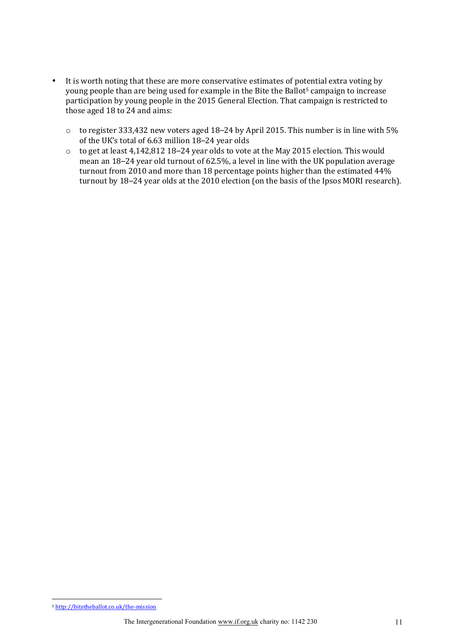- It is worth noting that these are more conservative estimates of potential extra voting by young people than are being used for example in the Bite the Ballot<sup>5</sup> campaign to increase participation by young people in the 2015 General Election. That campaign is restricted to those aged 18 to 24 and aims:
	- $\circ$  to register 333,432 new voters aged 18–24 by April 2015. This number is in line with 5% of the UK's total of 6.63 million 18–24 year olds
	- $\circ$  to get at least 4,142,812 18–24 year olds to vote at the May 2015 election. This would mean an 18–24 year old turnout of 62.5%, a level in line with the UK population average turnout from 2010 and more than 18 percentage points higher than the estimated  $44%$ turnout by 18–24 year olds at the 2010 election (on the basis of the Ipsos MORI research).

 $\overline{a}$ 

<sup>&</sup>lt;sup>5</sup> http://bitetheballot.co.uk/the-mission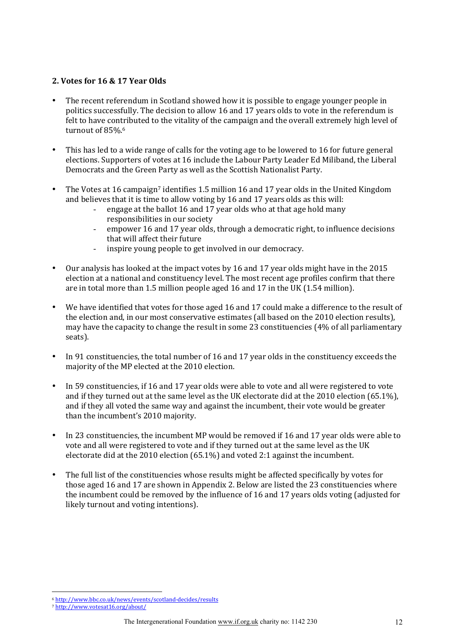#### **2. Votes for 16 & 17 Year Olds**

- The recent referendum in Scotland showed how it is possible to engage younger people in politics successfully. The decision to allow 16 and 17 years olds to vote in the referendum is felt to have contributed to the vitality of the campaign and the overall extremely high level of turnout of 85%.<sup>6</sup>
- This has led to a wide range of calls for the voting age to be lowered to 16 for future general elections. Supporters of votes at 16 include the Labour Party Leader Ed Miliband, the Liberal Democrats and the Green Party as well as the Scottish Nationalist Party.
- The Votes at 16 campaign<sup>7</sup> identifies 1.5 million 16 and 17 year olds in the United Kingdom and believes that it is time to allow voting by 16 and 17 years olds as this will:
	- engage at the ballot 16 and 17 year olds who at that age hold many responsibilities in our society
	- empower 16 and 17 year olds, through a democratic right, to influence decisions that will affect their future
	- inspire young people to get involved in our democracy.
- Our analysis has looked at the impact votes by 16 and 17 year olds might have in the 2015 election at a national and constituency level. The most recent age profiles confirm that there are in total more than 1.5 million people aged 16 and 17 in the UK (1.54 million).
- We have identified that votes for those aged 16 and 17 could make a difference to the result of the election and, in our most conservative estimates (all based on the 2010 election results), may have the capacity to change the result in some 23 constituencies (4% of all parliamentary seats).
- In 91 constituencies, the total number of 16 and 17 year olds in the constituency exceeds the majority of the MP elected at the 2010 election.
- In 59 constituencies, if 16 and 17 year olds were able to vote and all were registered to vote and if they turned out at the same level as the UK electorate did at the 2010 election (65.1%), and if they all voted the same way and against the incumbent, their vote would be greater than the incumbent's 2010 majority.
- In 23 constituencies, the incumbent MP would be removed if 16 and 17 year olds were able to vote and all were registered to vote and if they turned out at the same level as the UK electorate did at the 2010 election (65.1%) and voted 2:1 against the incumbent.
- The full list of the constituencies whose results might be affected specifically by votes for those aged 16 and 17 are shown in Appendix 2. Below are listed the 23 constituencies where the incumbent could be removed by the influence of 16 and 17 years olds voting (adjusted for likely turnout and voting intentions).

 $\overline{a}$ 

<sup>6</sup> http://www.bbc.co.uk/news/events/scotland-decides/results

<sup>7</sup> http://www.votesat16.org/about/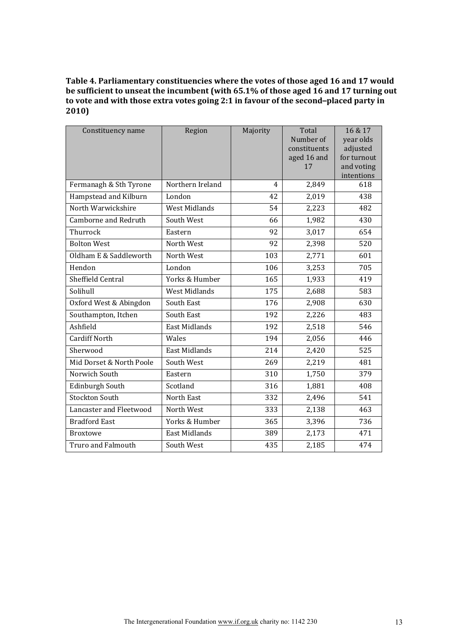#### Table 4. Parliamentary constituencies where the votes of those aged 16 and 17 would be sufficient to unseat the incumbent (with 65.1% of those aged 16 and 17 turning out to vote and with those extra votes going 2:1 in favour of the second-placed party in **2010)**

| Constituency name         | Region               | Majority | Total                       | 16 & 17                 |
|---------------------------|----------------------|----------|-----------------------------|-------------------------|
|                           |                      |          | Number of                   | year olds               |
|                           |                      |          | constituents<br>aged 16 and | adjusted<br>for turnout |
|                           |                      |          | 17                          | and voting              |
|                           |                      |          |                             | intentions              |
| Fermanagh & Sth Tyrone    | Northern Ireland     | 4        | 2,849                       | 618                     |
| Hampstead and Kilburn     | London               | 42       | 2,019                       | 438                     |
| North Warwickshire        | <b>West Midlands</b> | 54       | 2,223                       | 482                     |
| Camborne and Redruth      | South West           | 66       | 1,982                       | 430                     |
| Thurrock                  | Eastern              | 92       | 3,017                       | 654                     |
| <b>Bolton West</b>        | North West           | 92       | 2,398                       | 520                     |
| Oldham E & Saddleworth    | North West           | 103      | 2,771                       | 601                     |
| Hendon                    | London               | 106      | 3,253                       | 705                     |
| Sheffield Central         | Yorks & Humber       | 165      | 1,933                       | 419                     |
| Solihull                  | <b>West Midlands</b> | 175      | 2,688                       | 583                     |
| Oxford West & Abingdon    | South East           | 176      | 2,908                       | 630                     |
| Southampton, Itchen       | South East           | 192      | 2,226                       | 483                     |
| Ashfield                  | <b>East Midlands</b> | 192      | 2,518                       | 546                     |
| <b>Cardiff North</b>      | Wales                | 194      | 2,056                       | 446                     |
| Sherwood                  | East Midlands        | 214      | 2,420                       | 525                     |
| Mid Dorset & North Poole  | South West           | 269      | 2,219                       | 481                     |
| Norwich South             | Eastern              | 310      | 1,750                       | 379                     |
| Edinburgh South           | Scotland             | 316      | 1,881                       | 408                     |
| <b>Stockton South</b>     | North East           | 332      | 2,496                       | 541                     |
| Lancaster and Fleetwood   | North West           | 333      | 2,138                       | 463                     |
| <b>Bradford East</b>      | Yorks & Humber       | 365      | 3,396                       | 736                     |
| <b>Broxtowe</b>           | <b>East Midlands</b> | 389      | 2,173                       | 471                     |
| <b>Truro and Falmouth</b> | South West           | 435      | 2,185                       | 474                     |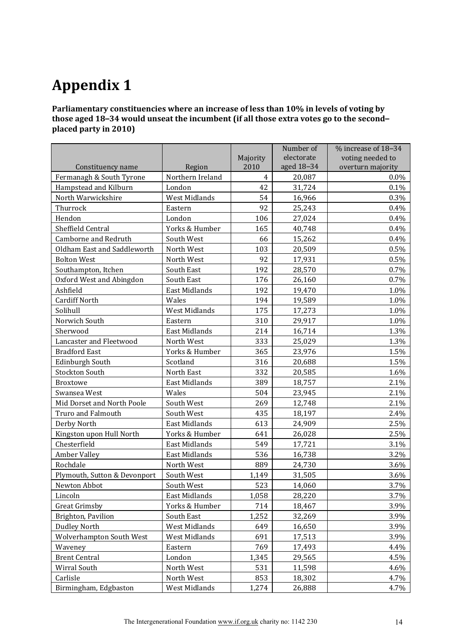# **Appendix 1**

Parliamentary constituencies where an increase of less than 10% in levels of voting by those aged 18-34 would unseat the incumbent (if all those extra votes go to the secondplaced party in 2010)

|                              |                      |                | Number of  | % increase of 18-34 |
|------------------------------|----------------------|----------------|------------|---------------------|
|                              |                      | Majority       | electorate | voting needed to    |
| Constituency name            | Region               | 2010           | aged 18-34 | overturn majority   |
| Fermanagh & South Tyrone     | Northern Ireland     | $\overline{4}$ | 20,087     | 0.0%                |
| Hampstead and Kilburn        | London               | 42             | 31,724     | 0.1%                |
| North Warwickshire           | West Midlands        | 54             | 16,966     | 0.3%                |
| Thurrock                     | Eastern              | 92             | 25,243     | 0.4%                |
| Hendon                       | London               | 106            | 27,024     | 0.4%                |
| Sheffield Central            | Yorks & Humber       | 165            | 40,748     | 0.4%                |
| Camborne and Redruth         | South West           | 66             | 15,262     | 0.4%                |
| Oldham East and Saddleworth  | North West           | 103            | 20,509     | 0.5%                |
| <b>Bolton West</b>           | North West           | 92             | 17,931     | $0.5\%$             |
| Southampton, Itchen          | South East           | 192            | 28,570     | 0.7%                |
| Oxford West and Abingdon     | South East           | 176            | 26,160     | 0.7%                |
| Ashfield                     | East Midlands        | 192            | 19,470     | 1.0%                |
| <b>Cardiff North</b>         | Wales                | 194            | 19,589     | 1.0%                |
| Solihull                     | West Midlands        | 175            | 17,273     | 1.0%                |
| Norwich South                | Eastern              | 310            | 29,917     | 1.0%                |
| Sherwood                     | <b>East Midlands</b> | 214            | 16,714     | 1.3%                |
| Lancaster and Fleetwood      | North West           | 333            | 25,029     | 1.3%                |
| <b>Bradford East</b>         | Yorks & Humber       | 365            | 23,976     | 1.5%                |
| Edinburgh South              | Scotland             | 316            | 20,688     | 1.5%                |
| <b>Stockton South</b>        | North East           | 332            | 20,585     | 1.6%                |
| <b>Broxtowe</b>              | East Midlands        | 389            | 18,757     | 2.1%                |
| Swansea West                 | Wales                | 504            | 23,945     | 2.1%                |
| Mid Dorset and North Poole   | South West           | 269            | 12,748     | 2.1%                |
| <b>Truro and Falmouth</b>    | South West           | 435            | 18,197     | 2.4%                |
| Derby North                  | East Midlands        | 613            | 24,909     | 2.5%                |
| Kingston upon Hull North     | Yorks & Humber       | 641            | 26,028     | 2.5%                |
| Chesterfield                 | <b>East Midlands</b> | 549            | 17,721     | 3.1%                |
| <b>Amber Valley</b>          | East Midlands        | 536            | 16,738     | 3.2%                |
| Rochdale                     | North West           | 889            | 24,730     | 3.6%                |
| Plymouth, Sutton & Devonport | South West           | 1,149          | 31,505     | 3.6%                |
| Newton Abbot                 | South West           | 523            | 14,060     | 3.7%                |
| Lincoln                      | East Midlands        | 1,058          | 28,220     | 3.7%                |
| <b>Great Grimsby</b>         | Yorks & Humber       | 714            | 18,467     | 3.9%                |
| Brighton, Pavilion           | South East           | 1,252          | 32,269     | 3.9%                |
| <b>Dudley North</b>          | West Midlands        | 649            | 16,650     | 3.9%                |
| Wolverhampton South West     | West Midlands        | 691            | 17,513     | 3.9%                |
| Waveney                      | Eastern              | 769            | 17,493     | 4.4%                |
| <b>Brent Central</b>         | London               | 1,345          | 29,565     | 4.5%                |
| Wirral South                 | North West           | 531            | 11,598     | 4.6%                |
| Carlisle                     | North West           | 853            | 18,302     | 4.7%                |
| Birmingham, Edgbaston        | West Midlands        | 1,274          | 26,888     | 4.7%                |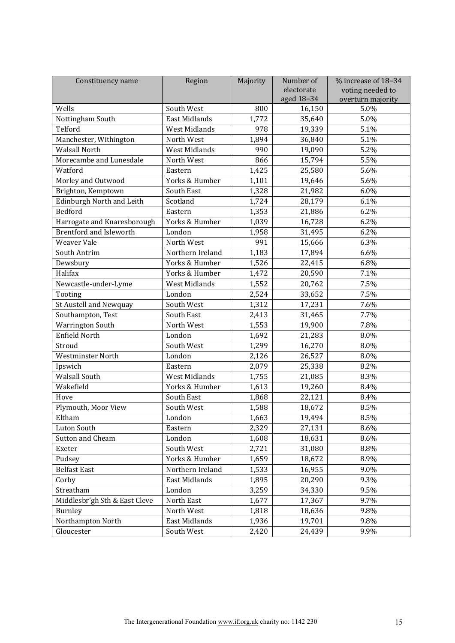| Constituency name              | Region               | Majority | Number of  | $%$ increase of $18-34$ |
|--------------------------------|----------------------|----------|------------|-------------------------|
|                                |                      |          | electorate | voting needed to        |
|                                |                      |          | aged 18-34 | overturn majority       |
| Wells                          | South West           | 800      | 16,150     | 5.0%                    |
| Nottingham South               | East Midlands        | 1,772    | 35,640     | 5.0%                    |
| Telford                        | <b>West Midlands</b> | 978      | 19,339     | 5.1%                    |
| Manchester, Withington         | North West           | 1,894    | 36,840     | 5.1%                    |
| <b>Walsall North</b>           | West Midlands        | 990      | 19,090     | 5.2%                    |
| Morecambe and Lunesdale        | North West           | 866      | 15,794     | 5.5%                    |
| Watford                        | Eastern              | 1,425    | 25,580     | 5.6%                    |
| Morley and Outwood             | Yorks & Humber       | 1,101    | 19,646     | 5.6%                    |
| Brighton, Kemptown             | South East           | 1,328    | 21,982     | 6.0%                    |
| Edinburgh North and Leith      | Scotland             | 1,724    | 28,179     | 6.1%                    |
| Bedford                        | Eastern              | 1,353    | 21,886     | 6.2%                    |
| Harrogate and Knaresborough    | Yorks & Humber       | 1,039    | 16,728     | 6.2%                    |
| <b>Brentford and Isleworth</b> | London               | 1,958    | 31,495     | 6.2%                    |
| <b>Weaver Vale</b>             | North West           | 991      | 15,666     | 6.3%                    |
| South Antrim                   | Northern Ireland     | 1,183    | 17,894     | 6.6%                    |
| Dewsbury                       | Yorks & Humber       | 1,526    | 22,415     | 6.8%                    |
| Halifax                        | Yorks & Humber       | 1,472    | 20,590     | 7.1%                    |
| Newcastle-under-Lyme           | <b>West Midlands</b> | 1,552    | 20,762     | 7.5%                    |
| Tooting                        | London               | 2,524    | 33,652     | 7.5%                    |
| St Austell and Newquay         | South West           | 1,312    | 17,231     | 7.6%                    |
| Southampton, Test              | South East           | 2,413    | 31,465     | 7.7%                    |
| <b>Warrington South</b>        | North West           | 1,553    | 19,900     | 7.8%                    |
| Enfield North                  | London               | 1,692    | 21,283     | 8.0%                    |
| Stroud                         | South West           | 1,299    | 16,270     | 8.0%                    |
| Westminster North              | London               | 2,126    | 26,527     | 8.0%                    |
| Ipswich                        | Eastern              | 2,079    | 25,338     | 8.2%                    |
| <b>Walsall South</b>           | West Midlands        | 1,755    | 21,085     | 8.3%                    |
| Wakefield                      | Yorks & Humber       | 1,613    | 19,260     | 8.4%                    |
| Hove                           | South East           | 1,868    | 22,121     | 8.4%                    |
| Plymouth, Moor View            | South West           | 1,588    | 18,672     | 8.5%                    |
| Eltham                         | London               | 1,663    | 19,494     | 8.5%                    |
| Luton South                    | Eastern              | 2,329    | 27,131     | 8.6%                    |
| Sutton and Cheam               | London               | 1,608    | 18,631     | 8.6%                    |
| Exeter                         | South West           | 2,721    | 31,080     | 8.8%                    |
| Pudsey                         | Yorks & Humber       | 1,659    | 18,672     | 8.9%                    |
| <b>Belfast East</b>            | Northern Ireland     | 1,533    | 16,955     | 9.0%                    |
| Corby                          | East Midlands        | 1,895    | 20,290     | 9.3%                    |
| Streatham                      | London               | 3,259    | 34,330     | 9.5%                    |
| Middlesbr'gh Sth & East Cleve  | North East           | 1,677    | 17,367     | 9.7%                    |
| Burnley                        | North West           | 1,818    | 18,636     | 9.8%                    |
| Northampton North              | East Midlands        | 1,936    | 19,701     | 9.8%                    |
| Gloucester                     | South West           | 2,420    | 24,439     | 9.9%                    |
|                                |                      |          |            |                         |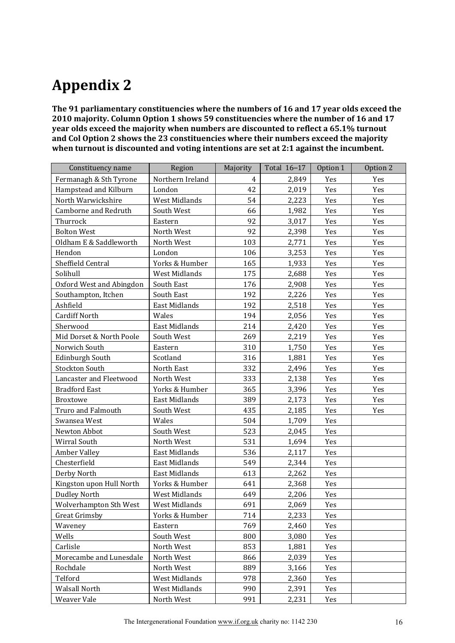## **Appendix!2**

The 91 parliamentary constituencies where the numbers of 16 and 17 year olds exceed the 2010 majority. Column Option 1 shows 59 constituencies where the number of 16 and 17 year olds exceed the majority when numbers are discounted to reflect a 65.1% turnout and Col Option 2 shows the 23 constituencies where their numbers exceed the majority when turnout is discounted and voting intentions are set at 2:1 against the incumbent.

| Constituency name        | Region               | Majority | Total 16-17 | Option 1 | Option 2 |
|--------------------------|----------------------|----------|-------------|----------|----------|
| Fermanagh & Sth Tyrone   | Northern Ireland     | 4        | 2,849       | Yes      | Yes      |
| Hampstead and Kilburn    | London               | 42       | 2,019       | Yes      | Yes      |
| North Warwickshire       | West Midlands        | 54       | 2,223       | Yes      | Yes      |
| Camborne and Redruth     | South West           | 66       | 1,982       | Yes      | Yes      |
| Thurrock                 | Eastern              | 92       | 3,017       | Yes      | Yes      |
| <b>Bolton West</b>       | North West           | 92       | 2,398       | Yes      | Yes      |
| Oldham E & Saddleworth   | North West           | 103      | 2,771       | Yes      | Yes      |
| Hendon                   | London               | 106      | 3,253       | Yes      | Yes      |
| Sheffield Central        | Yorks & Humber       | 165      | 1,933       | Yes      | Yes      |
| Solihull                 | <b>West Midlands</b> | 175      | 2,688       | Yes      | Yes      |
| Oxford West and Abingdon | South East           | 176      | 2,908       | Yes      | Yes      |
| Southampton, Itchen      | South East           | 192      | 2,226       | Yes      | Yes      |
| Ashfield                 | East Midlands        | 192      | 2,518       | Yes      | Yes      |
| <b>Cardiff North</b>     | Wales                | 194      | 2,056       | Yes      | Yes      |
| Sherwood                 | East Midlands        | 214      | 2,420       | Yes      | Yes      |
| Mid Dorset & North Poole | South West           | 269      | 2,219       | Yes      | Yes      |
| Norwich South            | Eastern              | 310      | 1,750       | Yes      | Yes      |
| <b>Edinburgh South</b>   | Scotland             | 316      | 1,881       | Yes      | Yes      |
| <b>Stockton South</b>    | North East           | 332      | 2,496       | Yes      | Yes      |
| Lancaster and Fleetwood  | North West           | 333      | 2,138       | Yes      | Yes      |
| <b>Bradford East</b>     | Yorks & Humber       | 365      | 3,396       | Yes      | Yes      |
| <b>Broxtowe</b>          | <b>East Midlands</b> | 389      | 2,173       | Yes      | Yes      |
| Truro and Falmouth       | South West           | 435      | 2,185       | Yes      | Yes      |
| Swansea West             | Wales                | 504      | 1,709       | Yes      |          |
| Newton Abbot             | South West           | 523      | 2,045       | Yes      |          |
| Wirral South             | North West           | 531      | 1,694       | Yes      |          |
| <b>Amber Valley</b>      | East Midlands        | 536      | 2,117       | Yes      |          |
| Chesterfield             | East Midlands        | 549      | 2,344       | Yes      |          |
| Derby North              | <b>East Midlands</b> | 613      | 2,262       | Yes      |          |
| Kingston upon Hull North | Yorks & Humber       | 641      | 2,368       | Yes      |          |
| <b>Dudley North</b>      | West Midlands        | 649      | 2,206       | Yes      |          |
| Wolverhampton Sth West   | West Midlands        | 691      | 2,069       | Yes      |          |
| Great Grimsby            | Yorks & Humber       | 714      | 2,233       | Yes      |          |
| Waveney                  | Eastern              | 769      | 2,460       | Yes      |          |
| Wells                    | South West           | 800      | 3,080       | Yes      |          |
| Carlisle                 | North West           | 853      | 1,881       | Yes      |          |
| Morecambe and Lunesdale  | North West           | 866      | 2,039       | Yes      |          |
| Rochdale                 | North West           | 889      | 3,166       | Yes      |          |
| Telford                  | West Midlands        | 978      | 2,360       | Yes      |          |
| <b>Walsall North</b>     | West Midlands        | 990      | 2,391       | Yes      |          |
| Weaver Vale              | North West           | 991      | 2,231       | Yes      |          |